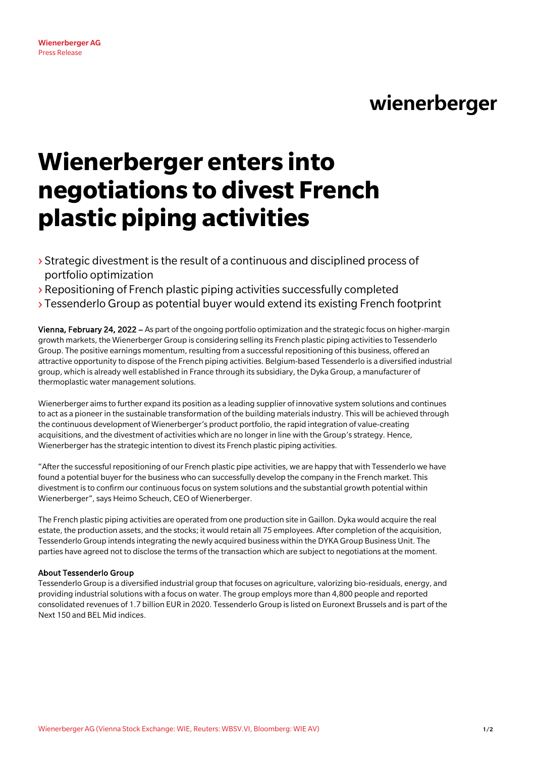# wienerberger

# **Wienerberger enters into negotiations to divest French plastic piping activities**

- › Strategic divestment is the result of a continuous and disciplined process of portfolio optimization
- › Repositioning of French plastic piping activities successfully completed
- › Tessenderlo Group as potential buyer would extend its existing French footprint

Vienna, February 24, 2022 – As part of the ongoing portfolio optimization and the strategic focus on higher-margin growth markets, the Wienerberger Group is considering selling its French plastic piping activities to Tessenderlo Group. The positive earnings momentum, resulting from a successful repositioning of this business, offered an attractive opportunity to dispose of the French piping activities. Belgium-based Tessenderlo is a diversified industrial group, which is already well established in France through its subsidiary, the Dyka Group, a manufacturer of thermoplastic water management solutions.

Wienerberger aims to further expand its position as a leading supplier of innovative system solutions and continues to act as a pioneer in the sustainable transformation of the building materials industry. This will be achieved through the continuous development of Wienerberger's product portfolio, the rapid integration of value-creating acquisitions, and the divestment of activities which are no longer in line with the Group's strategy. Hence, Wienerberger has the strategic intention to divest its French plastic piping activities.

"After the successful repositioning of our French plastic pipe activities, we are happy that with Tessenderlo we have found a potential buyer for the business who can successfully develop the company in the French market. This divestment is to confirm our continuous focus on system solutions and the substantial growth potential within Wienerberger", says Heimo Scheuch, CEO of Wienerberger.

The French plastic piping activities are operated from one production site in Gaillon. Dyka would acquire the real estate, the production assets, and the stocks; it would retain all 75 employees. After completion of the acquisition, Tessenderlo Group intends integrating the newly acquired business within the DYKA Group Business Unit. The parties have agreed not to disclose the terms of the transaction which are subject to negotiations at the moment.

## About Tessenderlo Group

Wienerberger AG Press Release

Tessenderlo Group is a diversified industrial group that focuses on agriculture, valorizing bio-residuals, energy, and providing industrial solutions with a focus on water. The group employs more than 4,800 people and reported consolidated revenues of 1.7 billion EUR in 2020. Tessenderlo Group is listed on Euronext Brussels and is part of the Next 150 and BEL Mid indices.